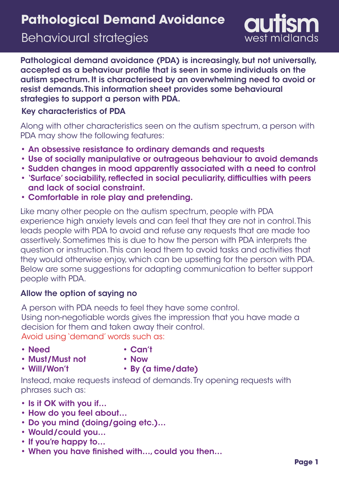# **Pathological Demand Avoidance**

# Behavioural strategies



Pathological demand avoidance (PDA) is increasingly, but not universally, accepted as a behaviour profile that is seen in some individuals on the autism spectrum. It is characterised by an overwhelming need to avoid or resist demands. This information sheet provides some behavioural strategies to support a person with PDA.

## Key characteristics of PDA

Along with other characteristics seen on the autism spectrum, a person with PDA may show the following features:

- An obsessive resistance to ordinary demands and requests •
- Use of socially manipulative or outrageous behaviour to avoid demands
- Sudden changes in mood apparently associated with a need to control
- 'Surface' sociability, reflected in social peculiarity, difficulties with peers and lack of social constraint.
- Comfortable in role play and pretending. •

Like many other people on the autism spectrum, people with PDA experience high anxiety levels and can feel that they are not in control. This leads people with PDA to avoid and refuse any requests that are made too assertively. Sometimes this is due to how the person with PDA interprets the question or instruction. This can lead them to avoid tasks and activities that they would otherwise enjoy, which can be upsetting for the person with PDA. Below are some suggestions for adapting communication to better support people with PDA.

## Allow the option of saying no

A person with PDA needs to feel they have some control. Using non-negotiable words gives the impression that you have made a decision for them and taken away their control. Avoid using 'demand' words such as:

• Need

- Can't
- Must/Must not

• Will/Won't

- Now
- 
- By (a time/date)

Instead, make requests instead of demands. Try opening requests with phrases such as:

- Is it OK with you if…
- How do you feel about…
- Do you mind (doing/going etc.)…
- Would/could you…
- If you're happy to…
- When you have finished with…, could you then…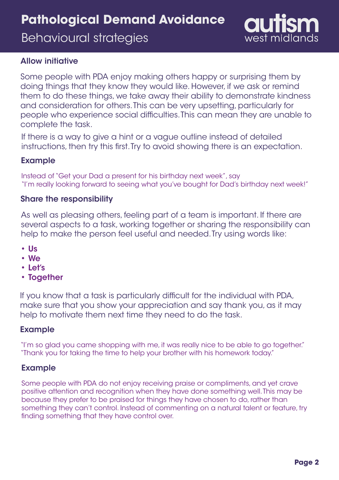# **Pathological Demand Avoidance**

Behavioural strategies



#### Allow initiative

Some people with PDA enjoy making others happy or surprising them by doing things that they know they would like. However, if we ask or remind them to do these things, we take away their ability to demonstrate kindness and consideration for others. This can be very upsetting, particularly for people who experience social difficulties. This can mean they are unable to complete the task.

If there is a way to give a hint or a vague outline instead of detailed instructions, then try this first. Try to avoid showing there is an expectation.

#### Example

Instead of "Get your Dad a present for his birthday next week", say "I'm really looking forward to seeing what you've bought for Dad's birthday next week!"

#### Share the responsibility

As well as pleasing others, feeling part of a team is important. If there are several aspects to a task, working together or sharing the responsibility can help to make the person feel useful and needed. Try using words like:

- Us
- We
- Let's
- Together

If you know that a task is particularly difficult for the individual with PDA, make sure that you show your appreciation and say thank you, as it may help to motivate them next time they need to do the task.

#### Example

"I'm so glad you came shopping with me, it was really nice to be able to go together." "Thank you for taking the time to help your brother with his homework today."

#### Example

Some people with PDA do not enjoy receiving praise or compliments, and yet crave positive attention and recognition when they have done something well. This may be because they prefer to be praised for things they have chosen to do, rather than something they can't control. Instead of commenting on a natural talent or feature, try finding something that they have control over.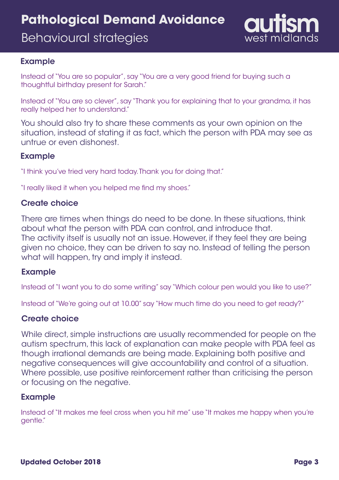# **Pathological Demand Avoidance**

Behavioural strategies



#### Example

Instead of "You are so popular", say "You are a very good friend for buying such a thoughtful birthday present for Sarah."

Instead of "You are so clever", say "Thank you for explaining that to your grandma, it has really helped her to understand."

You should also try to share these comments as your own opinion on the situation, instead of stating it as fact, which the person with PDA may see as untrue or even dishonest.

#### Example

"I think you've tried very hard today. Thank you for doing that."

"I really liked it when you helped me find my shoes."

#### Create choice

There are times when things do need to be done. In these situations, think about what the person with PDA can control, and introduce that. The activity itself is usually not an issue. However, if they feel they are being given no choice, they can be driven to say no. Instead of telling the person what will happen, try and imply it instead.

#### Example

Instead of "I want you to do some writing" say "Which colour pen would you like to use?"

Instead of "We're going out at 10.00" say "How much time do you need to get ready?"

#### Create choice

While direct, simple instructions are usually recommended for people on the autism spectrum, this lack of explanation can make people with PDA feel as though irrational demands are being made. Explaining both positive and negative consequences will give accountability and control of a situation. Where possible, use positive reinforcement rather than criticising the person or focusing on the negative.

#### Example

Instead of "It makes me feel cross when you hit me" use "It makes me happy when you're gentle."